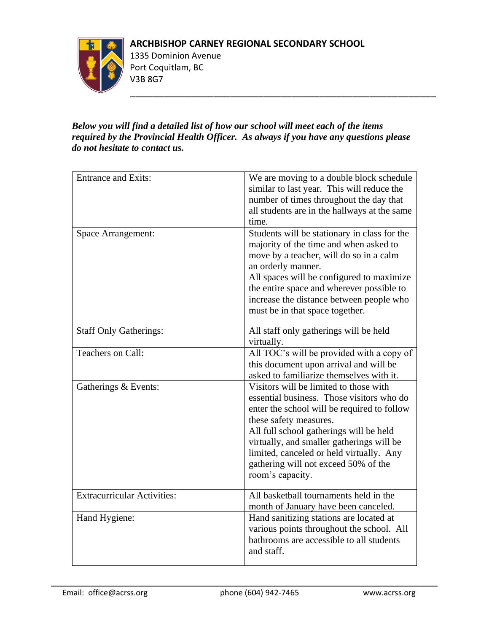## **ARCHBISHOP CARNEY REGIONAL SECONDARY SCHOOL**

\_\_\_\_\_\_\_\_\_\_\_\_\_\_\_\_\_\_\_\_\_\_\_\_\_\_\_\_\_\_\_\_\_\_\_\_\_\_\_\_\_\_\_\_\_\_\_\_\_\_\_\_\_\_\_



1335 Dominion Avenue Port Coquitlam, BC V3B 8G7

## *Below you will find a detailed list of how our school will meet each of the items required by the Provincial Health Officer. As always if you have any questions please do not hesitate to contact us.*

| <b>Entrance and Exits:</b>         | We are moving to a double block schedule<br>similar to last year. This will reduce the<br>number of times throughout the day that<br>all students are in the hallways at the same<br>time.                                                                                                                                                                   |
|------------------------------------|--------------------------------------------------------------------------------------------------------------------------------------------------------------------------------------------------------------------------------------------------------------------------------------------------------------------------------------------------------------|
| <b>Space Arrangement:</b>          | Students will be stationary in class for the<br>majority of the time and when asked to<br>move by a teacher, will do so in a calm<br>an orderly manner.<br>All spaces will be configured to maximize<br>the entire space and wherever possible to<br>increase the distance between people who<br>must be in that space together.                             |
| <b>Staff Only Gatherings:</b>      | All staff only gatherings will be held<br>virtually.                                                                                                                                                                                                                                                                                                         |
| Teachers on Call:                  | All TOC's will be provided with a copy of<br>this document upon arrival and will be<br>asked to familiarize themselves with it.                                                                                                                                                                                                                              |
| Gatherings & Events:               | Visitors will be limited to those with<br>essential business. Those visitors who do<br>enter the school will be required to follow<br>these safety measures.<br>All full school gatherings will be held<br>virtually, and smaller gatherings will be<br>limited, canceled or held virtually. Any<br>gathering will not exceed 50% of the<br>room's capacity. |
| <b>Extracurricular Activities:</b> | All basketball tournaments held in the<br>month of January have been canceled.                                                                                                                                                                                                                                                                               |
| Hand Hygiene:                      | Hand sanitizing stations are located at<br>various points throughout the school. All<br>bathrooms are accessible to all students<br>and staff.                                                                                                                                                                                                               |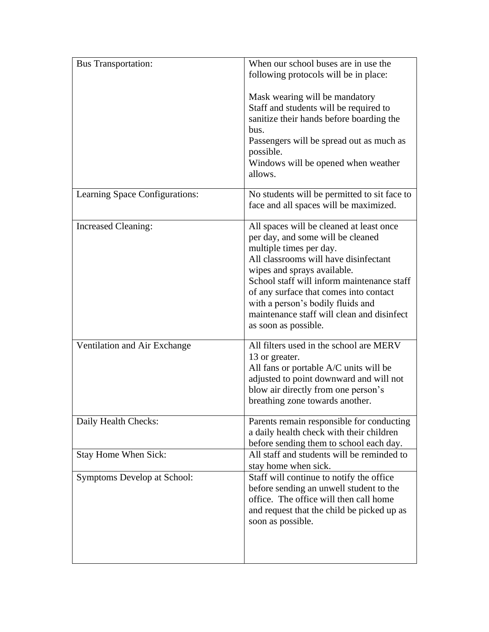| <b>Bus Transportation:</b>         | When our school buses are in use the<br>following protocols will be in place:                                                                                                                                                                                                                                                                                                       |
|------------------------------------|-------------------------------------------------------------------------------------------------------------------------------------------------------------------------------------------------------------------------------------------------------------------------------------------------------------------------------------------------------------------------------------|
|                                    | Mask wearing will be mandatory<br>Staff and students will be required to<br>sanitize their hands before boarding the<br>bus.<br>Passengers will be spread out as much as<br>possible.<br>Windows will be opened when weather<br>allows.                                                                                                                                             |
| Learning Space Configurations:     | No students will be permitted to sit face to<br>face and all spaces will be maximized.                                                                                                                                                                                                                                                                                              |
| <b>Increased Cleaning:</b>         | All spaces will be cleaned at least once<br>per day, and some will be cleaned<br>multiple times per day.<br>All classrooms will have disinfectant<br>wipes and sprays available.<br>School staff will inform maintenance staff<br>of any surface that comes into contact<br>with a person's bodily fluids and<br>maintenance staff will clean and disinfect<br>as soon as possible. |
| Ventilation and Air Exchange       | All filters used in the school are MERV<br>13 or greater.<br>All fans or portable A/C units will be<br>adjusted to point downward and will not<br>blow air directly from one person's<br>breathing zone towards another.                                                                                                                                                            |
| Daily Health Checks:               | Parents remain responsible for conducting<br>a daily health check with their children<br>before sending them to school each day.                                                                                                                                                                                                                                                    |
| <b>Stay Home When Sick:</b>        | All staff and students will be reminded to<br>stay home when sick.                                                                                                                                                                                                                                                                                                                  |
| <b>Symptoms Develop at School:</b> | Staff will continue to notify the office<br>before sending an unwell student to the<br>office. The office will then call home<br>and request that the child be picked up as<br>soon as possible.                                                                                                                                                                                    |